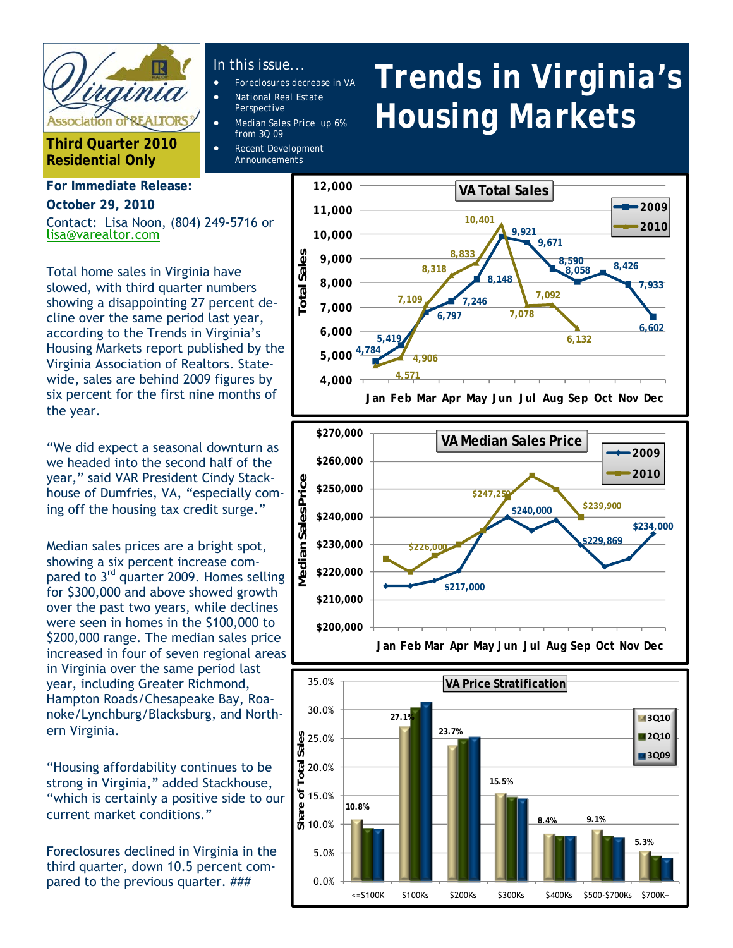

**Third Quarter 2010 Residential Only** 

# **For Immediate Release: October 29, 2010**

Contact: Lisa Noon, (804) 249-5716 or lisa@varealtor.com

Total home sales in Virginia have slowed, with third quarter numbers showing a disappointing 27 percent decline over the same period last year, according to the Trends in Virginia's Housing Markets report published by the Virginia Association of Realtors. Statewide, sales are behind 2009 figures by six percent for the first nine months of the year.

"We did expect a seasonal downturn as we headed into the second half of the year," said VAR President Cindy Stackhouse of Dumfries, VA, "especially coming off the housing tax credit surge."

Median sales prices are a bright spot, showing a six percent increase compared to 3<sup>rd</sup> quarter 2009. Homes selling for \$300,000 and above showed growth over the past two years, while declines were seen in homes in the \$100,000 to \$200,000 range. The median sales price increased in four of seven regional areas in Virginia over the same period last year, including Greater Richmond, Hampton Roads/Chesapeake Bay, Roanoke/Lynchburg/Blacksburg, and Northern Virginia.

"Housing affordability continues to be strong in Virginia," added Stackhouse, "which is certainly a positive side to our current market conditions."

Foreclosures declined in Virginia in the third quarter, down 10.5 percent compared to the previous quarter. ###

### *In this issue...*

- *Foreclosures decrease in VA*
- *National Real Estate Perspective*
- *Median Sales Price up 6% from 3Q 09*
- *Announcements*

# *Trends in Virginia's Housing Markets*







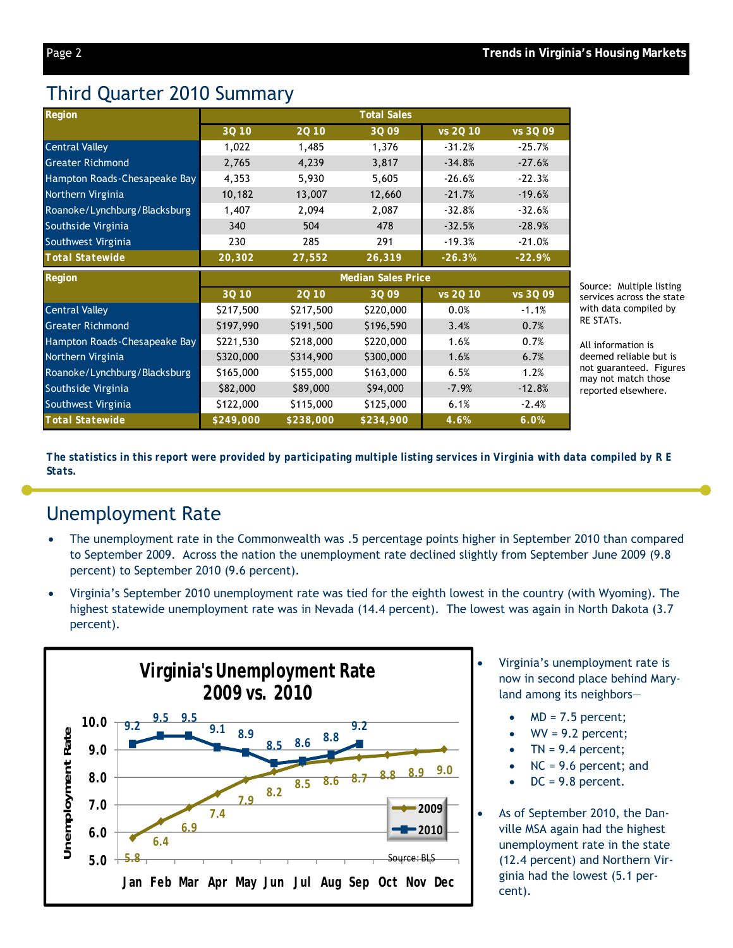# Third Quarter 2010 Summary

| <b>Region</b>                                                                                                                                               | <b>Total Sales</b> |           |                           |          |          |
|-------------------------------------------------------------------------------------------------------------------------------------------------------------|--------------------|-----------|---------------------------|----------|----------|
|                                                                                                                                                             | 3Q 10              | 20 10     | 3Q 09                     | vs 2Q 10 | vs 3Q 09 |
| <b>Central Valley</b>                                                                                                                                       | 1,022              | 1,485     | 1,376                     | $-31.2%$ | $-25.7%$ |
| <b>Greater Richmond</b>                                                                                                                                     | 2,765              | 4,239     | 3,817                     | $-34.8%$ | $-27.6%$ |
| Hampton Roads-Chesapeake Bay                                                                                                                                | 4,353              | 5,930     | 5,605                     | $-26.6%$ | $-22.3%$ |
| Northern Virginia                                                                                                                                           | 10,182             | 13,007    | 12,660                    | $-21.7%$ | $-19.6%$ |
| Roanoke/Lynchburg/Blacksburg                                                                                                                                | 1,407              | 2,094     | 2,087                     | $-32.8%$ | $-32.6%$ |
| Southside Virginia                                                                                                                                          | 340                | 504       | 478                       | $-32.5%$ | $-28.9%$ |
| Southwest Virginia                                                                                                                                          | 230                | 285       | 291                       | $-19.3%$ | $-21.0%$ |
| <b>Total Statewide</b>                                                                                                                                      | 20,302             | 27,552    | 26,319                    | $-26.3%$ | $-22.9%$ |
|                                                                                                                                                             |                    |           |                           |          |          |
| Region                                                                                                                                                      |                    |           | <b>Median Sales Price</b> |          |          |
|                                                                                                                                                             | 3Q 10              | 20 10     | 3Q 09                     | vs 20 10 | vs 3Q 09 |
|                                                                                                                                                             | \$217,500          | \$217,500 | \$220,000                 | 0.0%     | $-1.1%$  |
|                                                                                                                                                             | \$197,990          | \$191,500 | \$196,590                 | 3.4%     | 0.7%     |
|                                                                                                                                                             | \$221,530          | \$218,000 | \$220,000                 | 1.6%     | 0.7%     |
|                                                                                                                                                             | \$320,000          | \$314,900 | \$300,000                 | 1.6%     | 6.7%     |
|                                                                                                                                                             | \$165,000          | \$155,000 | \$163,000                 | 6.5%     | 1.2%     |
| <b>Central Valley</b><br><b>Greater Richmond</b><br>Hampton Roads-Chesapeake Bay<br>Northern Virginia<br>Roanoke/Lynchburg/Blacksburg<br>Southside Virginia | \$82,000           | \$89,000  | \$94,000                  | $-7.9%$  | $-12.8%$ |
| Southwest Virginia                                                                                                                                          | \$122,000          | \$115,000 | \$125,000                 | 6.1%     | $-2.4%$  |

Source: Multiple listing services across the state with data compiled by RE STATs.

All information is deemed reliable but is not guaranteed. Figures may not match those reported elsewhere.

*The statistics in this report were provided by participating multiple listing services in Virginia with data compiled by R E Stats.* 

# Unemployment Rate

- The unemployment rate in the Commonwealth was .5 percentage points higher in September 2010 than compared to September 2009. Across the nation the unemployment rate declined slightly from September June 2009 (9.8 percent) to September 2010 (9.6 percent).
- Virginia's September 2010 unemployment rate was tied for the eighth lowest in the country (with Wyoming). The highest statewide unemployment rate was in Nevada (14.4 percent). The lowest was again in North Dakota (3.7 percent).



- Virginia's unemployment rate is now in second place behind Maryland among its neighbors—
	- MD = 7.5 percent;
	- $W = 9.2$  percent;
	- $TN = 9.4$  percent;
	- NC = 9.6 percent; and
	- DC = 9.8 percent.
- As of September 2010, the Danville MSA again had the highest unemployment rate in the state (12.4 percent) and Northern Virginia had the lowest (5.1 percent).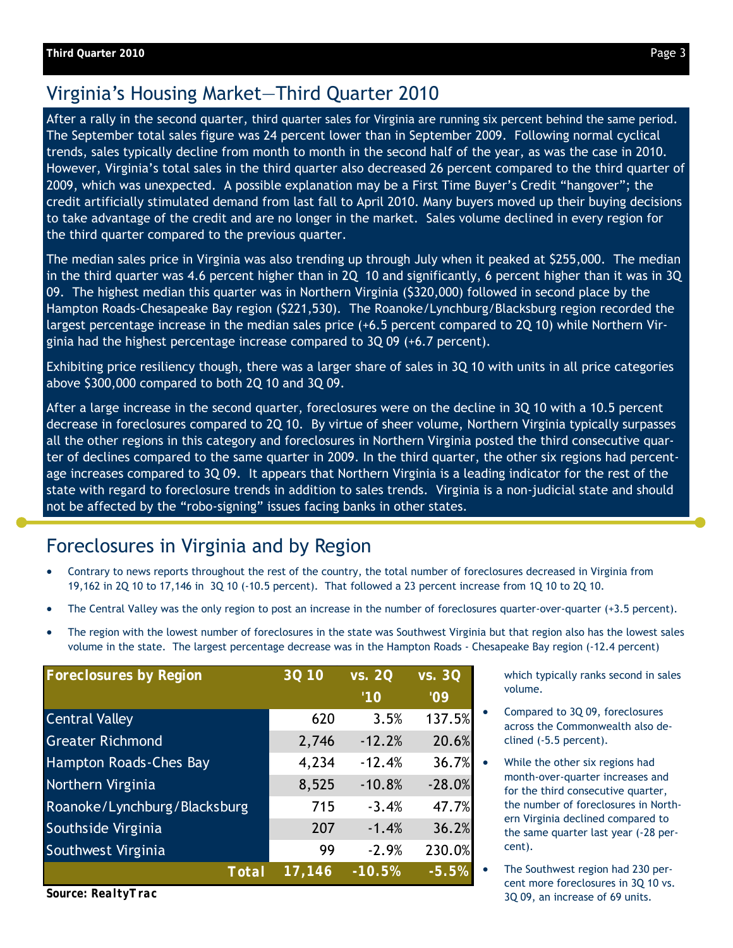## Virginia's Housing Market—Third Quarter 2010

After a rally in the second quarter, third quarter sales for Virginia are running six percent behind the same period. The September total sales figure was 24 percent lower than in September 2009. Following normal cyclical trends, sales typically decline from month to month in the second half of the year, as was the case in 2010. However, Virginia's total sales in the third quarter also decreased 26 percent compared to the third quarter of 2009, which was unexpected. A possible explanation may be a First Time Buyer's Credit "hangover"; the credit artificially stimulated demand from last fall to April 2010. Many buyers moved up their buying decisions to take advantage of the credit and are no longer in the market. Sales volume declined in every region for the third quarter compared to the previous quarter.

The median sales price in Virginia was also trending up through July when it peaked at \$255,000. The median in the third quarter was 4.6 percent higher than in 2Q 10 and significantly, 6 percent higher than it was in 3Q 09. The highest median this quarter was in Northern Virginia (\$320,000) followed in second place by the Hampton Roads-Chesapeake Bay region (\$221,530). The Roanoke/Lynchburg/Blacksburg region recorded the largest percentage increase in the median sales price (+6.5 percent compared to 2Q 10) while Northern Virginia had the highest percentage increase compared to 3Q 09 (+6.7 percent).

Exhibiting price resiliency though, there was a larger share of sales in 3Q 10 with units in all price categories above \$300,000 compared to both 2Q 10 and 3Q 09.

After a large increase in the second quarter, foreclosures were on the decline in 3Q 10 with a 10.5 percent decrease in foreclosures compared to 2Q 10. By virtue of sheer volume, Northern Virginia typically surpasses all the other regions in this category and foreclosures in Northern Virginia posted the third consecutive quarter of declines compared to the same quarter in 2009. In the third quarter, the other six regions had percentage increases compared to 3Q 09. It appears that Northern Virginia is a leading indicator for the rest of the state with regard to foreclosure trends in addition to sales trends. Virginia is a non-judicial state and should not be affected by the "robo-signing" issues facing banks in other states.

# Foreclosures in Virginia and by Region

- Contrary to news reports throughout the rest of the country, the total number of foreclosures decreased in Virginia from 19,162 in 2Q 10 to 17,146 in 3Q 10 (-10.5 percent). That followed a 23 percent increase from 1Q 10 to 2Q 10.
- The Central Valley was the only region to post an increase in the number of foreclosures quarter-over-quarter (+3.5 percent).
- The region with the lowest number of foreclosures in the state was Southwest Virginia but that region also has the lowest sales volume in the state. The largest percentage decrease was in the Hampton Roads - Chesapeake Bay region (-12.4 percent)

| <b>Foreclosures by Region</b> | <b>3Q10</b> | vs. 20   | vs. 30   |
|-------------------------------|-------------|----------|----------|
|                               |             | '10      | '09      |
| <b>Central Valley</b>         | 620         | 3.5%     | 137.5%   |
| <b>Greater Richmond</b>       | 2,746       | $-12.2%$ | 20.6%    |
| Hampton Roads-Ches Bay        | 4,234       | $-12.4%$ | 36.7%    |
| Northern Virginia             | 8,525       | $-10.8%$ | $-28.0%$ |
| Roanoke/Lynchburg/Blacksburg  | 715         | $-3.4%$  | 47.7%    |
| Southside Virginia            | 207         | $-1.4%$  | 36.2%    |
| Southwest Virginia            | 99          | $-2.9%$  | 230.0%   |
| <b>Total</b>                  | 17,146      | $-10.5%$ | $-5.5%$  |

*Source: RealtyTrac*

which typically ranks second in sales volume.

- Compared to 3Q 09, foreclosures across the Commonwealth also declined (-5.5 percent).
	- While the other six regions had month-over-quarter increases and for the third consecutive quarter, the number of foreclosures in Northern Virginia declined compared to the same quarter last year (-28 percent).
- The Southwest region had 230 percent more foreclosures in 3Q 10 vs. 3Q 09, an increase of 69 units.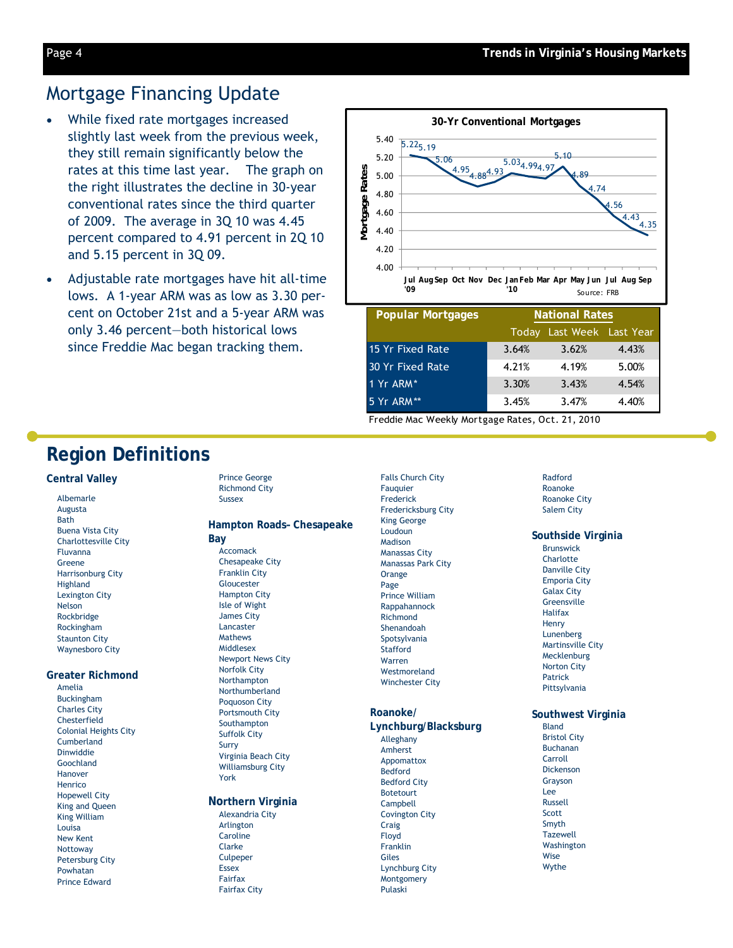### Mortgage Financing Update

- While fixed rate mortgages increased slightly last week from the previous week, they still remain significantly below the rates at this time last year. The graph on the right illustrates the decline in 30-year conventional rates since the third quarter of 2009. The average in 3Q 10 was 4.45 percent compared to 4.91 percent in 2Q 10 and 5.15 percent in 3Q 09.
- Adjustable rate mortgages have hit all-time lows. A 1-year ARM was as low as 3.30 percent on October 21st and a 5-year ARM was only 3.46 percent—both historical lows since Freddie Mac began tracking them.



| <b>Popular Mortgages</b> | <b>National Rates</b> |                     |       |  |
|--------------------------|-----------------------|---------------------|-------|--|
|                          | Todav                 | Last Week Last Year |       |  |
| 15 Yr Fixed Rate         | 3.64%                 | 3.62%               | 4.43% |  |
| 30 Yr Fixed Rate         | 4.21%                 | 4.19%               | 5.00% |  |
| 1 Yr ARM*                | 3.30%                 | 3.43%               | 4.54% |  |
| 5 Yr ARM**               | 3.45%                 | 3.47%               | 4.40% |  |

Freddie Mac Weekly Mortgage Rates, Oct. 21, 2010

### **Region Definitions**

#### **Central Valley**

Albemarle Augusta Bath Buena Vista City Charlottesville City Fluvanna Greene Harrisonburg City Highland Lexington City Nelson Rockbridge Rockingham Staunton City Waynesboro City

#### **Greater Richmond**

Amelia Buckingham Charles City Chesterfield Colonial Heights City Cumberland Dinwiddie Goochland Hanover Henrico Hopewell City King and Queen King William Louisa New Kent Nottoway Petersburg City Powhatan Prince Edward

Prince George Richmond City Sussex

#### **Hampton Roads– Chesapeake Bay**

Accomack Chesapeake City Franklin City Gloucester Hampton City Isle of Wight James City Lancaster Mathews Middlesex Newport News City Norfolk City Northampton Northumberland Poquoson City Portsmouth City Southampton Suffolk City Surry Virginia Beach City Williamsburg City York

#### **Northern Virginia**

Alexandria City Arlington Caroline Clarke Culpeper Essex Fairfax Fairfax City

Falls Church City Fauquier Frederick Fredericksburg City King George Loudoun Madison Manassas City Manassas Park City Orange Page Prince William Rappahannock Richmond Shenandoah Spotsylvania Stafford Warren Westmoreland Winchester City

#### **Roanoke/**

#### **Lynchburg/Blacksburg**  Alleghany Amherst Appomattox Bedford Bedford City Botetourt Campbell Covington City Craig Floyd Franklin Giles Lynchburg City Montgomery Pulaski

#### Radford Roanoke Roanoke City Salem City

#### **Southside Virginia**

Brunswick **Charlotte** Danville City Emporia City Galax City **Greensville** Halifax Henry Lunenberg Martinsville City **Mecklenburg** Norton City Patrick Pittsylvania

#### **Southwest Virginia**

Bland Bristol City Buchanan Carroll Dickenson Grayson Lee Russell Scott Smyth **Tazewell** Washington Wise Wythe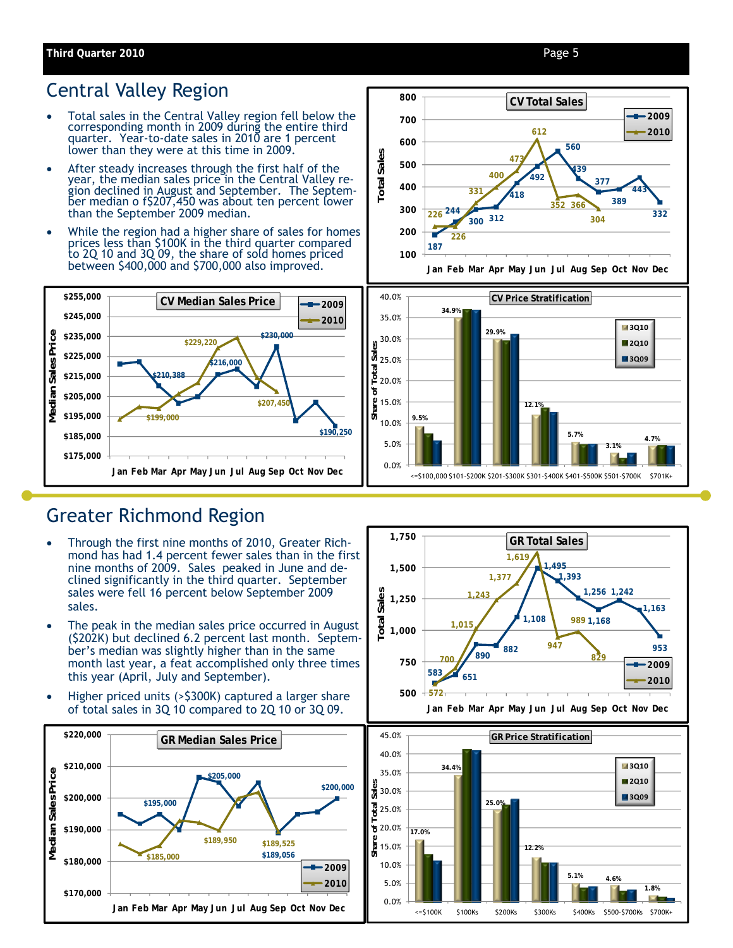#### Page 5

## Central Valley Region

- Total sales in the Central Valley region fell below the corresponding month in 2009 during the entire third quarter. Year-to-date sales in 2010 are 1 percent lower than they were at this time in 2009.
- After steady increases through the first half of the year, the median sales price in the Central Valley region declined in August and September. The September median o f\$207,450 was about ten percent lower than the September 2009 median.
- While the region had a higher share of sales for homes prices less than \$100K in the third quarter compared to 2Q 10 and 3Q 09, the share of sold homes priced between \$400,000 and \$700,000 also improved.









### Greater Richmond Region

- Through the first nine months of 2010, Greater Richmond has had 1.4 percent fewer sales than in the first nine months of 2009. Sales peaked in June and declined significantly in the third quarter. September sales were fell 16 percent below September 2009 sales.
- The peak in the median sales price occurred in August (\$202K) but declined 6.2 percent last month. September's median was slightly higher than in the same month last year, a feat accomplished only three times this year (April, July and September).
- Higher priced units (>\$300K) captured a larger share of total sales in 3Q 10 compared to 2Q 10 or 3Q 09.





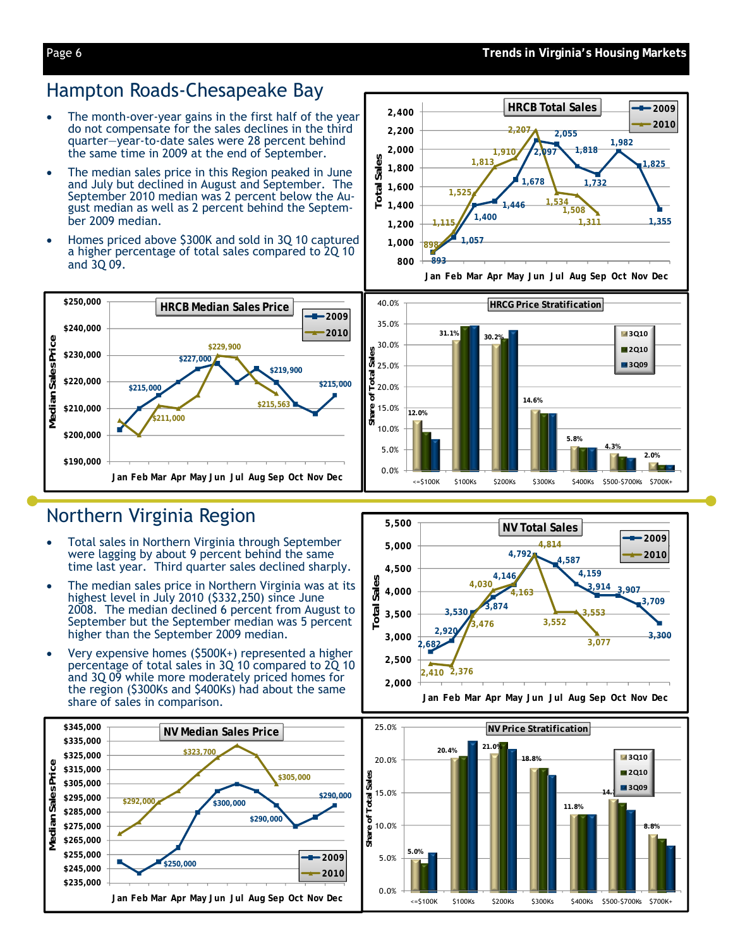### Hampton Roads-Chesapeake Bay

- The month-over-year gains in the first half of the year do not compensate for the sales declines in the third quarter—year-to-date sales were 28 percent behind the same time in 2009 at the end of September.
- The median sales price in this Region peaked in June and July but declined in August and September. The September 2010 median was 2 percent below the August median as well as 2 percent behind the September 2009 median.
- Homes priced above \$300K and sold in 3Q 10 captured a higher percentage of total sales compared to 2Q 10 and 3Q 09.



## Northern Virginia Region

- Total sales in Northern Virginia through September were lagging by about 9 percent behind the same time last year. Third quarter sales declined sharply.
- The median sales price in Northern Virginia was at its highest level in July 2010 (\$332,250) since June 2008. The median declined 6 percent from August to September but the September median was 5 percent higher than the September 2009 median.
- Very expensive homes (\$500K+) represented a higher percentage of total sales in 3Q 10 compared to 2Q 10 and 3Q 09 while more moderately priced homes for the region (\$300Ks and \$400Ks) had about the same share of sales in comparison.









**4,792 4,587**

**NV Total Sales**

**4,814**

**3,552**

**4,159**

**3,553**

**3,077**

**3,914 3,907**

**3,709**

**2009 2010**

**3,300**

**8.8%**

**3Q10 2Q10 3Q09**

**2,682 2,920**

**2,500 3,000 3,500 4,000 4,500 5,000 5,500**

**Total Sales**

**Total Sales** 

**2,410 2,376**

**3,530 3,874**

**4,030**

**3,476**

**4,146**

**4,163**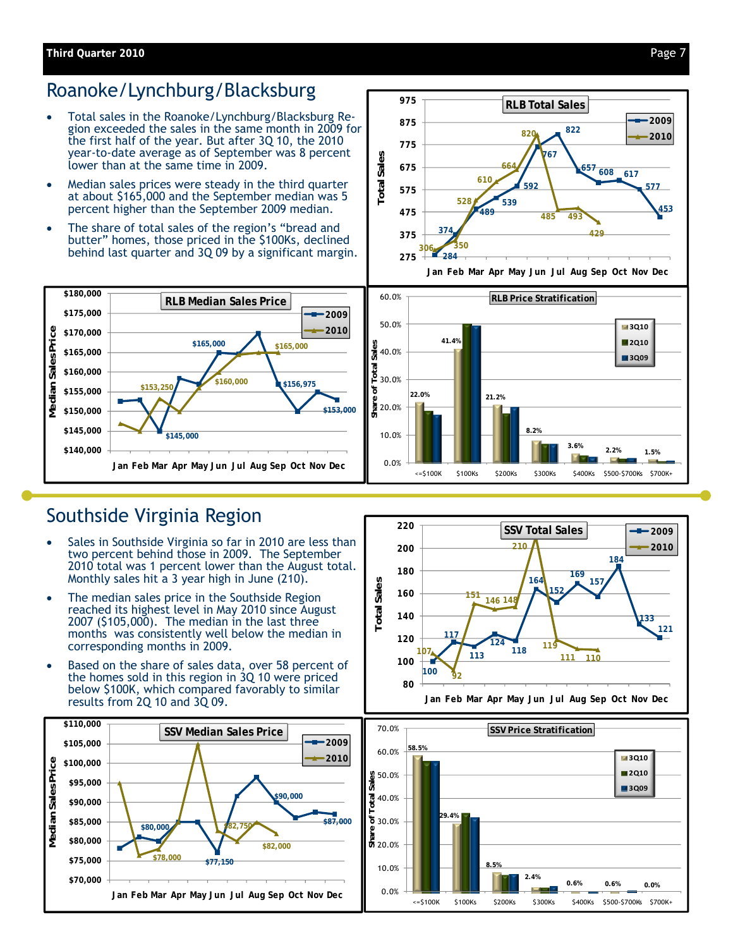#### **Third Quarter 2010**

# Roanoke/Lynchburg/Blacksburg

- Total sales in the Roanoke/Lynchburg/Blacksburg Region exceeded the sales in the same month in 2009 for the first half of the year. But after 3Q 10, the 2010 year-to-date average as of September was 8 percent lower than at the same time in 2009.
- Median sales prices were steady in the third quarter at about \$165,000 and the September median was 5 percent higher than the September 2009 median.
- The share of total sales of the region's "bread and butter" homes, those priced in the \$100Ks, declined behind last quarter and 3Q 09 by a significant margin.



**Jan Feb Mar Apr May Jun Jul Aug Sep Oct Nov Dec**



# Southside Virginia Region

- Sales in Southside Virginia so far in 2010 are less than two percent behind those in 2009. The September 2010 total was 1 percent lower than the August total. Monthly sales hit a 3 year high in June (210).
- The median sales price in the Southside Region reached its highest level in May 2010 since August 2007 (\$105,000). The median in the last three months was consistently well below the median in corresponding months in 2009.
- Based on the share of sales data, over 58 percent of the homes sold in this region in 3Q 10 were priced below \$100K, which compared favorably to similar results from 2Q 10 and 3Q 09.





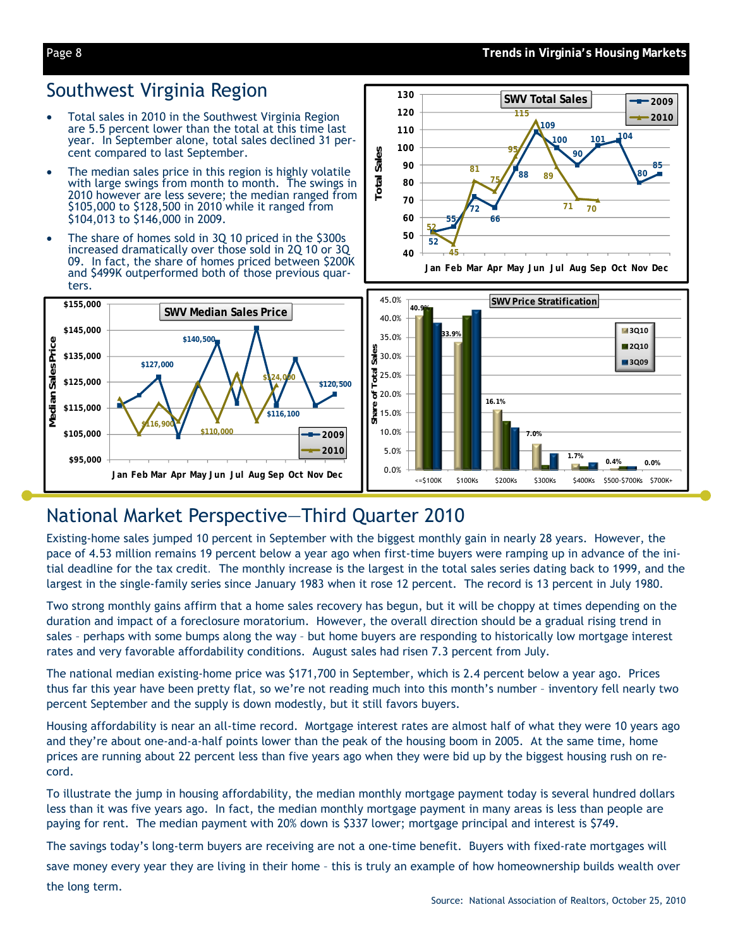#### **Trends in Virginia's Housing Markets**

#### Page 8

### Southwest Virginia Region

- Total sales in 2010 in the Southwest Virginia Region are 5.5 percent lower than the total at this time last year. In September alone, total sales declined 31 percent compared to last September.
- The median sales price in this region is highly volatile with large swings from month to month. The swings in 2010 however are less severe; the median ranged from \$105,000 to \$128,500 in 2010 while it ranged from \$104,013 to \$146,000 in 2009.
- The share of homes sold in 3Q 10 priced in the \$300s increased dramatically over those sold in 2Q 10 or 3Q 09. In fact, the share of homes priced between \$200K and \$499K outperformed both of those previous quarters.



# National Market Perspective—Third Quarter 2010

Existing-home sales jumped 10 percent in September with the biggest monthly gain in nearly 28 years. However, the pace of 4.53 million remains 19 percent below a year ago when first-time buyers were ramping up in advance of the initial deadline for the tax credit*.* The monthly increase is the largest in the total sales series dating back to 1999, and the largest in the single-family series since January 1983 when it rose 12 percent. The record is 13 percent in July 1980.

Two strong monthly gains affirm that a home sales recovery has begun, but it will be choppy at times depending on the duration and impact of a foreclosure moratorium. However, the overall direction should be a gradual rising trend in sales – perhaps with some bumps along the way – but home buyers are responding to historically low mortgage interest rates and very favorable affordability conditions. August sales had risen 7.3 percent from July.

The national median existing-home price was \$171,700 in September, which is 2.4 percent below a year ago. Prices thus far this year have been pretty flat, so we're not reading much into this month's number – inventory fell nearly two percent September and the supply is down modestly, but it still favors buyers.

Housing affordability is near an all-time record. Mortgage interest rates are almost half of what they were 10 years ago and they're about one-and-a-half points lower than the peak of the housing boom in 2005. At the same time, home prices are running about 22 percent less than five years ago when they were bid up by the biggest housing rush on record.

To illustrate the jump in housing affordability, the median monthly mortgage payment today is several hundred dollars less than it was five years ago. In fact, the median monthly mortgage payment in many areas is less than people are paying for rent. The median payment with 20% down is \$337 lower; mortgage principal and interest is \$749.

The savings today's long-term buyers are receiving are not a one-time benefit. Buyers with fixed-rate mortgages will

save money every year they are living in their home – this is truly an example of how homeownership builds wealth over the long term.